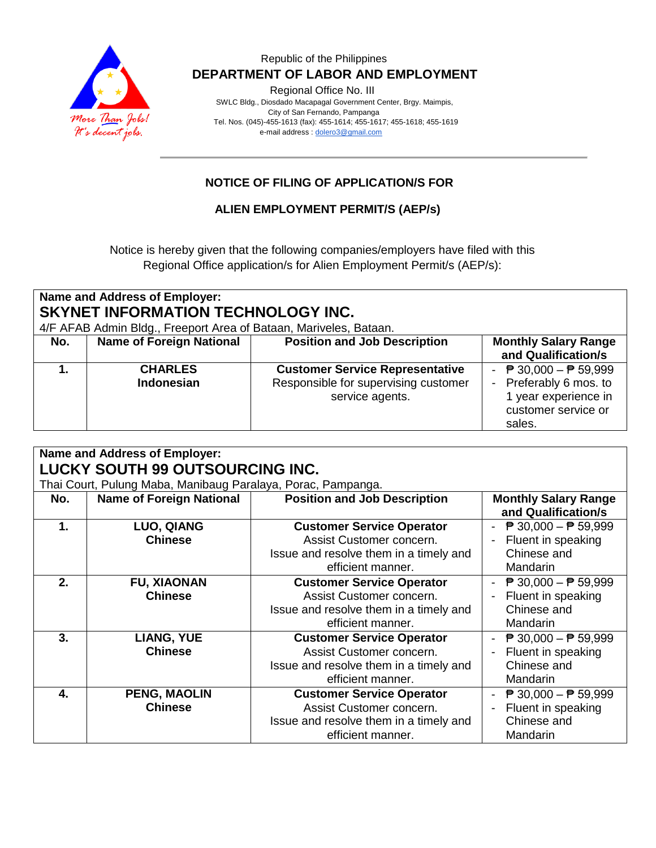

### Republic of the Philippines  **DEPARTMENT OF LABOR AND EMPLOYMENT**

Regional Office No. III

 SWLC Bldg., Diosdado Macapagal Government Center, Brgy. Maimpis, City of San Fernando, Pampanga Tel. Nos. (045)-455-1613 (fax): 455-1614; 455-1617; 455-1618; 455-1619 e-mail address [: dolero3@gmail.com](mailto:dolero3@gmail.com)

## **NOTICE OF FILING OF APPLICATION/S FOR**

### **ALIEN EMPLOYMENT PERMIT/S (AEP/s)**

Notice is hereby given that the following companies/employers have filed with this Regional Office application/s for Alien Employment Permit/s (AEP/s):

| <b>Name and Address of Employer:</b><br><b>SKYNET INFORMATION TECHNOLOGY INC.</b><br>4/F AFAB Admin Bldg., Freeport Area of Bataan, Mariveles, Bataan. |                                     |                                                                                                   |                                                                                                                                    |  |  |  |
|--------------------------------------------------------------------------------------------------------------------------------------------------------|-------------------------------------|---------------------------------------------------------------------------------------------------|------------------------------------------------------------------------------------------------------------------------------------|--|--|--|
| No.                                                                                                                                                    | <b>Name of Foreign National</b>     | <b>Position and Job Description</b>                                                               | <b>Monthly Salary Range</b><br>and Qualification/s                                                                                 |  |  |  |
|                                                                                                                                                        | <b>CHARLES</b><br><b>Indonesian</b> | <b>Customer Service Representative</b><br>Responsible for supervising customer<br>service agents. | - $\overline{P}$ 30,000 - $\overline{P}$ 59,999<br>- Preferably 6 mos. to<br>1 year experience in<br>customer service or<br>sales. |  |  |  |

| Name and Address of Employer:<br><b>LUCKY SOUTH 99 OUTSOURCING INC.</b><br>Thai Court, Pulung Maba, Manibaug Paralaya, Porac, Pampanga. |                                       |                                                                                                                             |                                                                                                       |  |  |  |
|-----------------------------------------------------------------------------------------------------------------------------------------|---------------------------------------|-----------------------------------------------------------------------------------------------------------------------------|-------------------------------------------------------------------------------------------------------|--|--|--|
| No.                                                                                                                                     | <b>Name of Foreign National</b>       | <b>Position and Job Description</b>                                                                                         | <b>Monthly Salary Range</b><br>and Qualification/s                                                    |  |  |  |
| $\mathbf 1$ .                                                                                                                           | LUO, QIANG<br><b>Chinese</b>          | <b>Customer Service Operator</b><br>Assist Customer concern.<br>Issue and resolve them in a timely and<br>efficient manner. | $\overline{P}$ 30,000 − $\overline{P}$ 59,999<br>Fluent in speaking<br>Chinese and<br><b>Mandarin</b> |  |  |  |
| $2-$                                                                                                                                    | <b>FU, XIAONAN</b><br><b>Chinese</b>  | <b>Customer Service Operator</b><br>Assist Customer concern.<br>Issue and resolve them in a timely and<br>efficient manner. | $\overline{P}$ 30,000 − $\overline{P}$ 59,999<br>Fluent in speaking<br>Chinese and<br>Mandarin        |  |  |  |
| 3.                                                                                                                                      | <b>LIANG, YUE</b><br><b>Chinese</b>   | <b>Customer Service Operator</b><br>Assist Customer concern.<br>Issue and resolve them in a timely and<br>efficient manner. | $\overline{P}$ 30,000 − $\overline{P}$ 59,999<br>Fluent in speaking<br>Chinese and<br>Mandarin        |  |  |  |
| 4.                                                                                                                                      | <b>PENG, MAOLIN</b><br><b>Chinese</b> | <b>Customer Service Operator</b><br>Assist Customer concern.<br>Issue and resolve them in a timely and<br>efficient manner. | $\overline{P}$ 30,000 − $\overline{P}$ 59,999<br>Fluent in speaking<br>Chinese and<br>Mandarin        |  |  |  |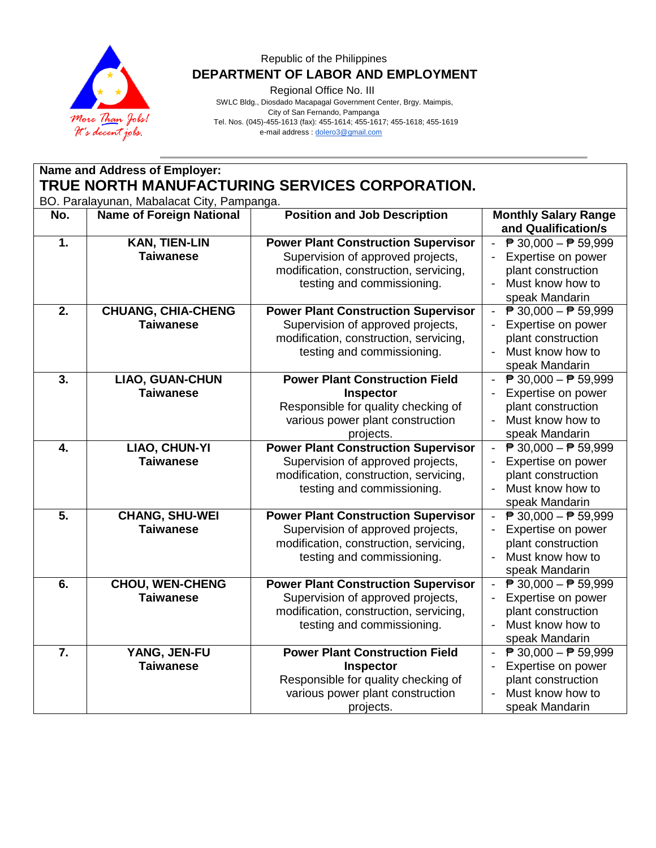

## Republic of the Philippines  **DEPARTMENT OF LABOR AND EMPLOYMENT**

Regional Office No. III

 SWLC Bldg., Diosdado Macapagal Government Center, Brgy. Maimpis, City of San Fernando, Pampanga Tel. Nos. (045)-455-1613 (fax): 455-1614; 455-1617; 455-1618; 455-1619 e-mail address [: dolero3@gmail.com](mailto:dolero3@gmail.com)

| Name and Address of Employer:                                                                |                                               |                                                                                                                                                         |                                                                                                                                                                                       |  |  |
|----------------------------------------------------------------------------------------------|-----------------------------------------------|---------------------------------------------------------------------------------------------------------------------------------------------------------|---------------------------------------------------------------------------------------------------------------------------------------------------------------------------------------|--|--|
| TRUE NORTH MANUFACTURING SERVICES CORPORATION.<br>BO. Paralayunan, Mabalacat City, Pampanga. |                                               |                                                                                                                                                         |                                                                                                                                                                                       |  |  |
| No.                                                                                          | <b>Name of Foreign National</b>               | <b>Position and Job Description</b>                                                                                                                     | <b>Monthly Salary Range</b><br>and Qualification/s                                                                                                                                    |  |  |
| $\overline{1}$ .                                                                             | <b>KAN, TIEN-LIN</b><br><b>Taiwanese</b>      | <b>Power Plant Construction Supervisor</b><br>Supervision of approved projects,<br>modification, construction, servicing,<br>testing and commissioning. | $\overline{P}$ 30,000 - $\overline{P}$ 59,999<br>$\blacksquare$<br>Expertise on power<br>$\blacksquare$<br>plant construction<br>Must know how to<br>$\blacksquare$<br>speak Mandarin |  |  |
| $\overline{2}$ .                                                                             | <b>CHUANG, CHIA-CHENG</b><br><b>Taiwanese</b> | <b>Power Plant Construction Supervisor</b><br>Supervision of approved projects,<br>modification, construction, servicing,<br>testing and commissioning. | $\overline{P}$ 30,000 - $\overline{P}$ 59,999<br>$\overline{\phantom{0}}$<br>Expertise on power<br>$\blacksquare$<br>plant construction<br>Must know how to<br>speak Mandarin         |  |  |
| $\overline{3}$ .                                                                             | <b>LIAO, GUAN-CHUN</b><br><b>Taiwanese</b>    | <b>Power Plant Construction Field</b><br>Inspector<br>Responsible for quality checking of<br>various power plant construction<br>projects.              | ₱ 30,000 – ₱ 59,999<br>Expertise on power<br>plant construction<br>Must know how to<br>$\equiv$<br>speak Mandarin                                                                     |  |  |
| $\overline{4}$ .                                                                             | LIAO, CHUN-YI<br><b>Taiwanese</b>             | <b>Power Plant Construction Supervisor</b><br>Supervision of approved projects,<br>modification, construction, servicing,<br>testing and commissioning. | $\overline{P}$ 30,000 − $\overline{P}$ 59,999<br>$\sim$<br>Expertise on power<br>plant construction<br>Must know how to<br>speak Mandarin                                             |  |  |
| $\overline{5}$ .                                                                             | <b>CHANG, SHU-WEI</b><br><b>Taiwanese</b>     | <b>Power Plant Construction Supervisor</b><br>Supervision of approved projects,<br>modification, construction, servicing,<br>testing and commissioning. | $\overline{P}$ 30,000 - $\overline{P}$ 59,999<br>÷.<br>Expertise on power<br>$\blacksquare$<br>plant construction<br>Must know how to<br>$\blacksquare$<br>speak Mandarin             |  |  |
| $\overline{6}$ .                                                                             | <b>CHOU, WEN-CHENG</b><br><b>Taiwanese</b>    | <b>Power Plant Construction Supervisor</b><br>Supervision of approved projects,<br>modification, construction, servicing,<br>testing and commissioning. | $\overline{P}$ 30,000 – $\overline{P}$ 59,999<br>Expertise on power<br>÷,<br>plant construction<br>Must know how to<br>$\blacksquare$<br>speak Mandarin                               |  |  |
| $\overline{7}$ .                                                                             | YANG, JEN-FU<br><b>Taiwanese</b>              | <b>Power Plant Construction Field</b><br>Inspector<br>Responsible for quality checking of<br>various power plant construction<br>projects.              | - $\overline{P}$ 30,000 - $\overline{P}$ 59,999<br>Expertise on power<br>plant construction<br>Must know how to<br>$\blacksquare$<br>speak Mandarin                                   |  |  |